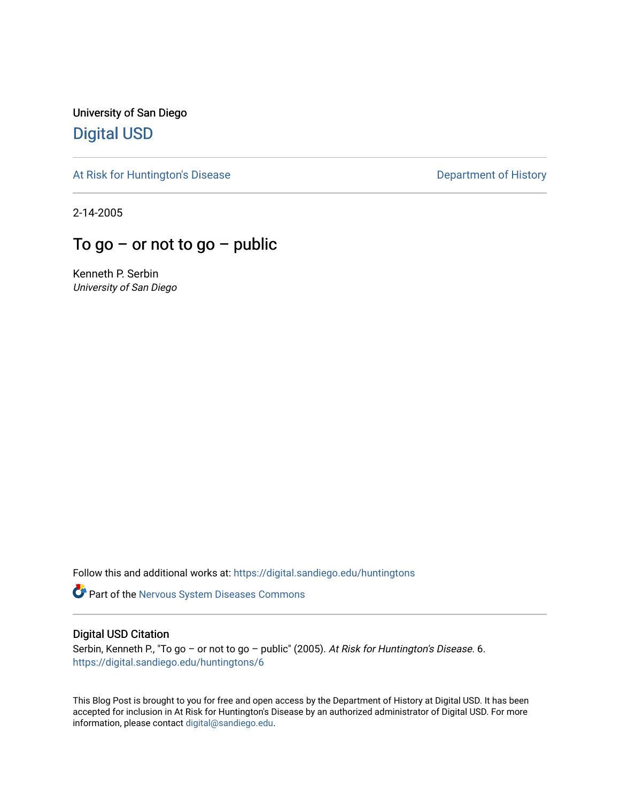University of San Diego [Digital USD](https://digital.sandiego.edu/)

[At Risk for Huntington's Disease](https://digital.sandiego.edu/huntingtons) **Department of History** Department of History

2-14-2005

## To go – or not to go – public

Kenneth P. Serbin University of San Diego

Follow this and additional works at: [https://digital.sandiego.edu/huntingtons](https://digital.sandiego.edu/huntingtons?utm_source=digital.sandiego.edu%2Fhuntingtons%2F6&utm_medium=PDF&utm_campaign=PDFCoverPages)

**Part of the [Nervous System Diseases Commons](http://network.bepress.com/hgg/discipline/928?utm_source=digital.sandiego.edu%2Fhuntingtons%2F6&utm_medium=PDF&utm_campaign=PDFCoverPages)** 

#### Digital USD Citation

Serbin, Kenneth P., "To go - or not to go - public" (2005). At Risk for Huntington's Disease. 6. [https://digital.sandiego.edu/huntingtons/6](https://digital.sandiego.edu/huntingtons/6?utm_source=digital.sandiego.edu%2Fhuntingtons%2F6&utm_medium=PDF&utm_campaign=PDFCoverPages) 

This Blog Post is brought to you for free and open access by the Department of History at Digital USD. It has been accepted for inclusion in At Risk for Huntington's Disease by an authorized administrator of Digital USD. For more information, please contact [digital@sandiego.edu.](mailto:digital@sandiego.edu)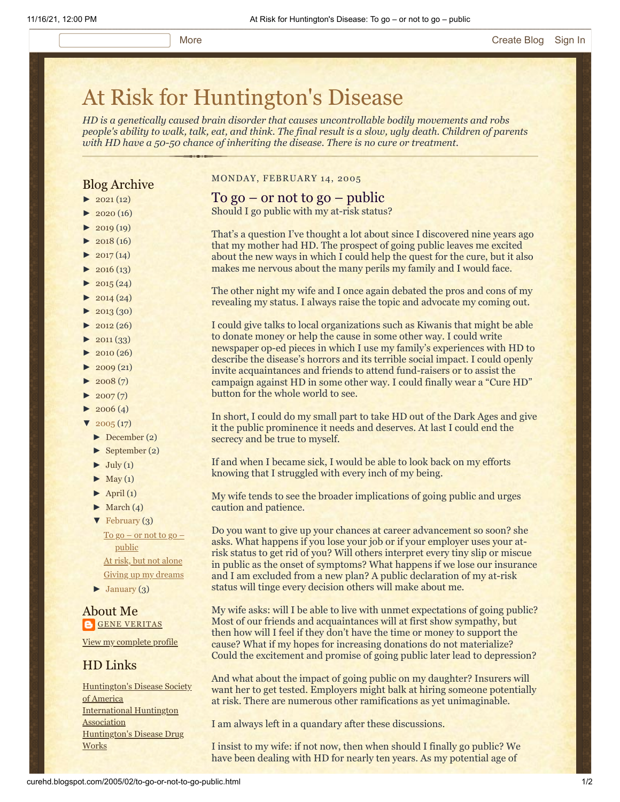# [At Risk for Huntington's Disease](http://curehd.blogspot.com/)

*HD is a genetically caused brain disorder that causes uncontrollable bodily movements and robs people's ability to walk, talk, eat, and think. The final result is a slow, ugly death. Children of parents with HD have a 50-50 chance of inheriting the disease. There is no cure or treatment.*

### Blog Archive

- $\blacktriangleright$  [2021](http://curehd.blogspot.com/2021/)(12)
- $2020(16)$  $2020(16)$
- $\blacktriangleright$  [2019](http://curehd.blogspot.com/2019/) (19)
- $\blacktriangleright$  [2018](http://curehd.blogspot.com/2018/) (16)
- $\blacktriangleright$  [2017](http://curehd.blogspot.com/2017/) (14)
- $-2016(13)$  $-2016(13)$  $-2016(13)$
- $\blacktriangleright$  [2015](http://curehd.blogspot.com/2015/) (24)
- $\blacktriangleright$  [2014](http://curehd.blogspot.com/2014/) (24)
- $\blacktriangleright$  [2013](http://curehd.blogspot.com/2013/) (30)
- $\blacktriangleright$  [2012](http://curehd.blogspot.com/2012/) (26)
- $\blacktriangleright$  [2011](http://curehd.blogspot.com/2011/) (33)
- $\blacktriangleright$  [2010](http://curehd.blogspot.com/2010/) (26)
- $\blacktriangleright$  [2009](http://curehd.blogspot.com/2009/) (21)
- $\blacktriangleright$  [2008](http://curehd.blogspot.com/2008/) $(7)$
- $\blacktriangleright$  [2007](http://curehd.blogspot.com/2007/) $(7)$
- $\blacktriangleright$  [2006](http://curehd.blogspot.com/2006/) (4)
- $\sqrt{2005(17)}$  $\sqrt{2005(17)}$  $\sqrt{2005(17)}$ 
	- [►](javascript:void(0)) [December](http://curehd.blogspot.com/2005/12/) (2)
	- [►](javascript:void(0)) [September](http://curehd.blogspot.com/2005/09/) (2)
	- $\blacktriangleright$  [July](http://curehd.blogspot.com/2005/07/) (1)
	- $\blacktriangleright$  [May](http://curehd.blogspot.com/2005/05/) (1)
	- $\blacktriangleright$  [April](http://curehd.blogspot.com/2005/04/) (1)
	- $\blacktriangleright$  [March](http://curehd.blogspot.com/2005/03/) (4)
	- [▼](javascript:void(0)) [February](http://curehd.blogspot.com/2005/02/) (3)

 $\underline{\text{To go}} - \text{or not to go}}$ [public](http://curehd.blogspot.com/2005/02/to-go-or-not-to-go-public.html) At risk, but not [alone](http://curehd.blogspot.com/2005/02/at-risk-but-not-alone.html) Giving up my [dreams](http://curehd.blogspot.com/2005/02/giving-up-my-dreams.html)

[►](javascript:void(0)) [January](http://curehd.blogspot.com/2005/01/) (3)

About Me **GENE [VERITAS](https://www.blogger.com/profile/10911736205741688185)** 

View my [complete](https://www.blogger.com/profile/10911736205741688185) profile

#### HD Links

[Huntington's](http://www.hdsa.org/) Disease Society of America [International](http://www.huntington-assoc.com/) Huntington **Association** [Huntington's](http://hddrugworks.org/) Disease Drug **Works** 

MONDAY, FEBRUARY 14, 2005

#### To go – or not to go – public

Should I go public with my at-risk status?

That's a question I've thought a lot about since I discovered nine years ago that my mother had HD. The prospect of going public leaves me excited about the new ways in which I could help the quest for the cure, but it also makes me nervous about the many perils my family and I would face.

The other night my wife and I once again debated the pros and cons of my revealing my status. I always raise the topic and advocate my coming out.

I could give talks to local organizations such as Kiwanis that might be able to donate money or help the cause in some other way. I could write newspaper op-ed pieces in which I use my family's experiences with HD to describe the disease's horrors and its terrible social impact. I could openly invite acquaintances and friends to attend fund-raisers or to assist the campaign against HD in some other way. I could finally wear a "Cure HD" button for the whole world to see.

In short, I could do my small part to take HD out of the Dark Ages and give it the public prominence it needs and deserves. At last I could end the secrecy and be true to myself.

If and when I became sick, I would be able to look back on my efforts knowing that I struggled with every inch of my being.

My wife tends to see the broader implications of going public and urges caution and patience.

Do you want to give up your chances at career advancement so soon? she asks. What happens if you lose your job or if your employer uses your atrisk status to get rid of you? Will others interpret every tiny slip or miscue in public as the onset of symptoms? What happens if we lose our insurance and I am excluded from a new plan? A public declaration of my at-risk status will tinge every decision others will make about me.

My wife asks: will I be able to live with unmet expectations of going public? Most of our friends and acquaintances will at first show sympathy, but then how will I feel if they don't have the time or money to support the cause? What if my hopes for increasing donations do not materialize? Could the excitement and promise of going public later lead to depression?

And what about the impact of going public on my daughter? Insurers will want her to get tested. Employers might balk at hiring someone potentially at risk. There are numerous other ramifications as yet unimaginable.

I am always left in a quandary after these discussions.

I insist to my wife: if not now, then when should I finally go public? We have been dealing with HD for nearly ten years. As my potential age of